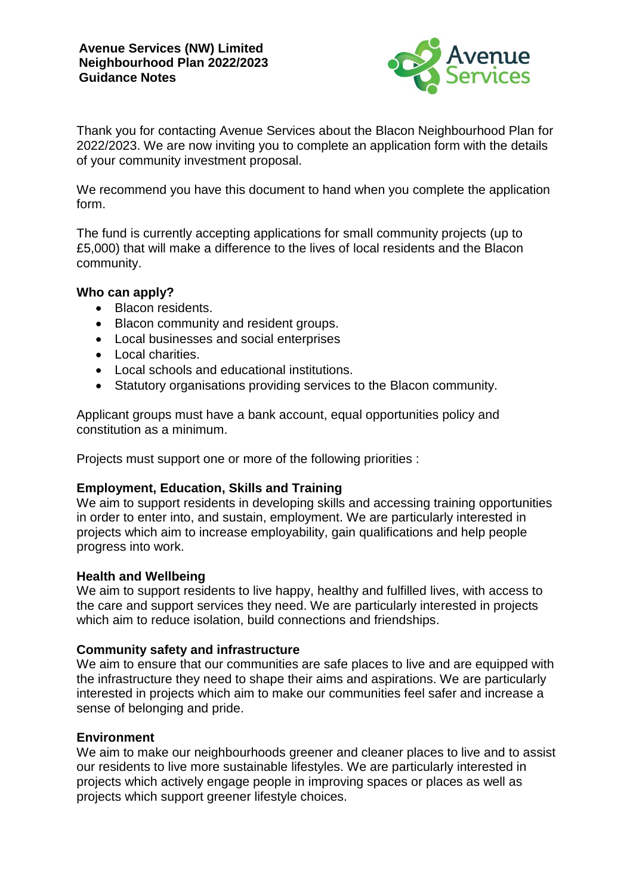

Thank you for contacting Avenue Services about the Blacon Neighbourhood Plan for 2022/2023. We are now inviting you to complete an application form with the details of your community investment proposal.

We recommend you have this document to hand when you complete the application form.

The fund is currently accepting applications for small community projects (up to £5,000) that will make a difference to the lives of local residents and the Blacon community.

### **Who can apply?**

- Blacon residents.
- Blacon community and resident groups.
- Local businesses and social enterprises
- Local charities.
- Local schools and educational institutions.
- Statutory organisations providing services to the Blacon community.

Applicant groups must have a bank account, equal opportunities policy and constitution as a minimum.

Projects must support one or more of the following priorities :

# **Employment, Education, Skills and Training**

We aim to support residents in developing skills and accessing training opportunities in order to enter into, and sustain, employment. We are particularly interested in projects which aim to increase employability, gain qualifications and help people progress into work.

#### **Health and Wellbeing**

We aim to support residents to live happy, healthy and fulfilled lives, with access to the care and support services they need. We are particularly interested in projects which aim to reduce isolation, build connections and friendships.

#### **Community safety and infrastructure**

We aim to ensure that our communities are safe places to live and are equipped with the infrastructure they need to shape their aims and aspirations. We are particularly interested in projects which aim to make our communities feel safer and increase a sense of belonging and pride.

#### **Environment**

We aim to make our neighbourhoods greener and cleaner places to live and to assist our residents to live more sustainable lifestyles. We are particularly interested in projects which actively engage people in improving spaces or places as well as projects which support greener lifestyle choices.